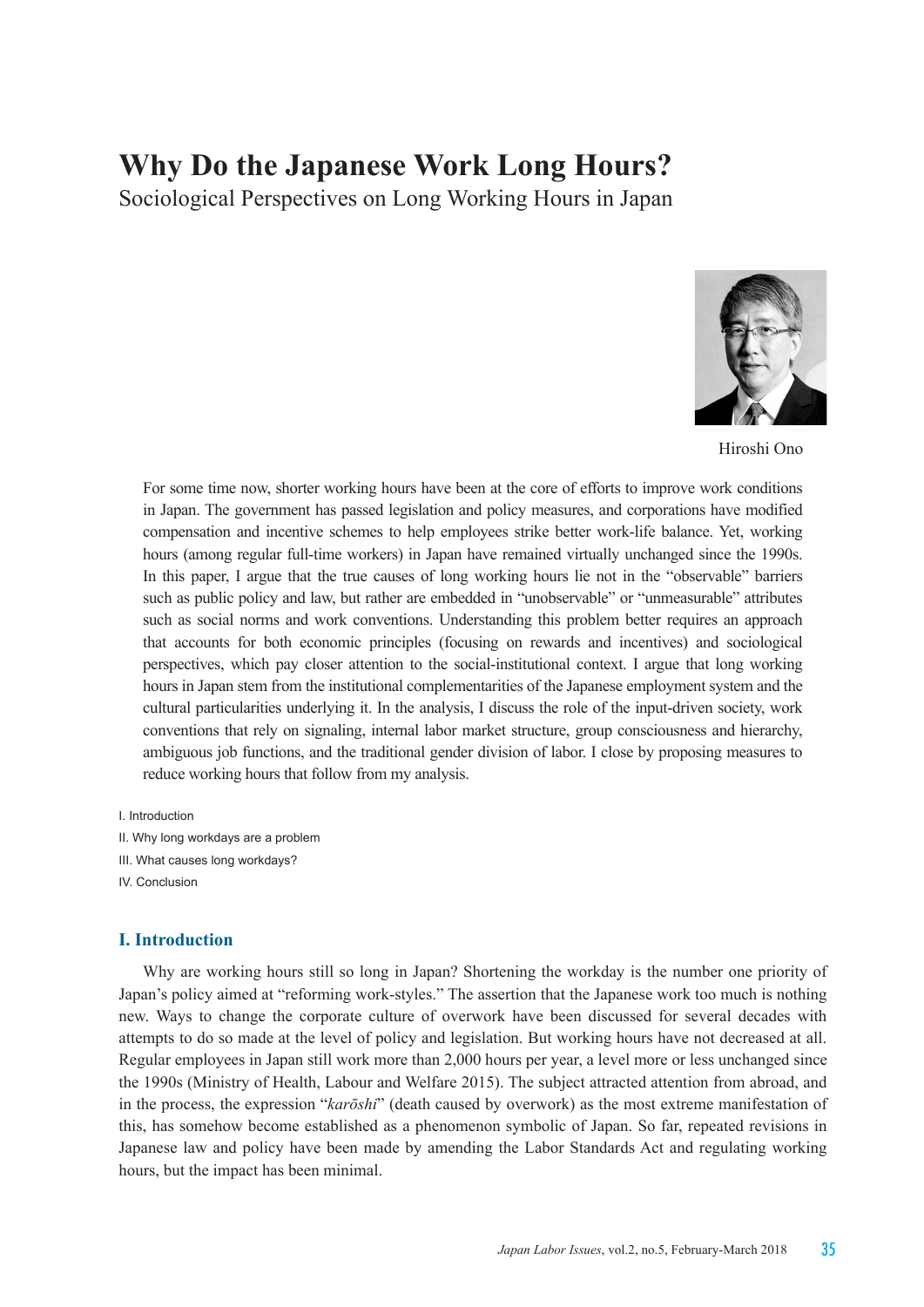# **Why Do the Japanese Work Long Hours?**

Sociological Perspectives on Long Working Hours in Japan



Hiroshi Ono

For some time now, shorter working hours have been at the core of efforts to improve work conditions in Japan. The government has passed legislation and policy measures, and corporations have modified compensation and incentive schemes to help employees strike better work-life balance. Yet, working hours (among regular full-time workers) in Japan have remained virtually unchanged since the 1990s. In this paper, I argue that the true causes of long working hours lie not in the "observable" barriers such as public policy and law, but rather are embedded in "unobservable" or "unmeasurable" attributes such as social norms and work conventions. Understanding this problem better requires an approach that accounts for both economic principles (focusing on rewards and incentives) and sociological perspectives, which pay closer attention to the social-institutional context. I argue that long working hours in Japan stem from the institutional complementarities of the Japanese employment system and the cultural particularities underlying it. In the analysis, I discuss the role of the input-driven society, work conventions that rely on signaling, internal labor market structure, group consciousness and hierarchy, ambiguous job functions, and the traditional gender division of labor. I close by proposing measures to reduce working hours that follow from my analysis.

I. Introduction

- II. Why long workdays are a problem
- III. What causes long workdays?
- IV. Conclusion

# **I. Introduction**

Why are working hours still so long in Japan? Shortening the workday is the number one priority of Japan's policy aimed at "reforming work-styles." The assertion that the Japanese work too much is nothing new. Ways to change the corporate culture of overwork have been discussed for several decades with attempts to do so made at the level of policy and legislation. But working hours have not decreased at all. Regular employees in Japan still work more than 2,000 hours per year, a level more or less unchanged since the 1990s (Ministry of Health, Labour and Welfare 2015). The subject attracted attention from abroad, and in the process, the expression "*karōshi*" (death caused by overwork) as the most extreme manifestation of this, has somehow become established as a phenomenon symbolic of Japan. So far, repeated revisions in Japanese law and policy have been made by amending the Labor Standards Act and regulating working hours, but the impact has been minimal.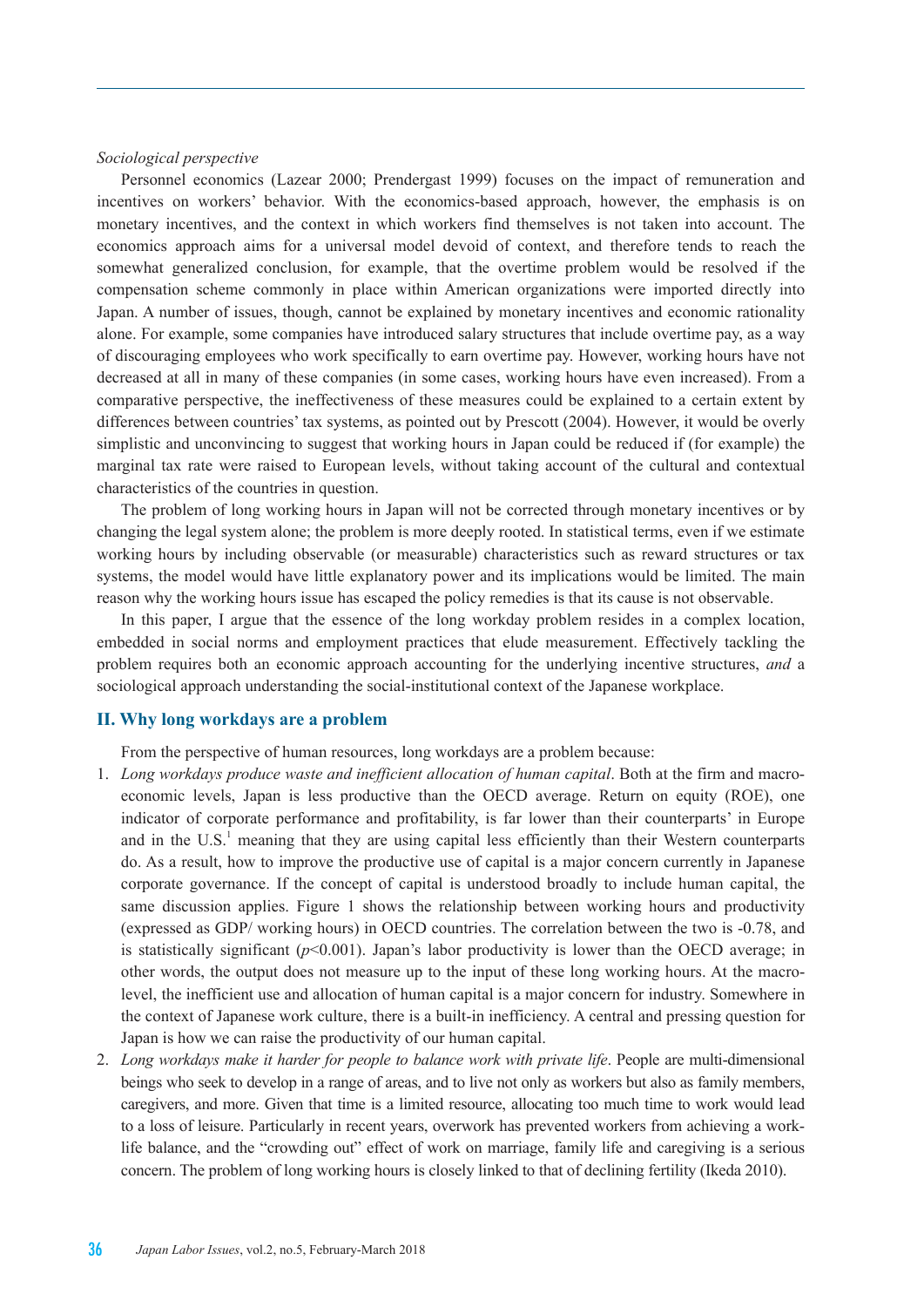#### *Sociological perspective*

Personnel economics (Lazear 2000; Prendergast 1999) focuses on the impact of remuneration and incentives on workers' behavior. With the economics-based approach, however, the emphasis is on monetary incentives, and the context in which workers find themselves is not taken into account. The economics approach aims for a universal model devoid of context, and therefore tends to reach the somewhat generalized conclusion, for example, that the overtime problem would be resolved if the compensation scheme commonly in place within American organizations were imported directly into Japan. A number of issues, though, cannot be explained by monetary incentives and economic rationality alone. For example, some companies have introduced salary structures that include overtime pay, as a way of discouraging employees who work specifically to earn overtime pay. However, working hours have not decreased at all in many of these companies (in some cases, working hours have even increased). From a comparative perspective, the ineffectiveness of these measures could be explained to a certain extent by differences between countries' tax systems, as pointed out by Prescott (2004). However, it would be overly simplistic and unconvincing to suggest that working hours in Japan could be reduced if (for example) the marginal tax rate were raised to European levels, without taking account of the cultural and contextual characteristics of the countries in question.

The problem of long working hours in Japan will not be corrected through monetary incentives or by changing the legal system alone; the problem is more deeply rooted. In statistical terms, even if we estimate working hours by including observable (or measurable) characteristics such as reward structures or tax systems, the model would have little explanatory power and its implications would be limited. The main reason why the working hours issue has escaped the policy remedies is that its cause is not observable.

In this paper, I argue that the essence of the long workday problem resides in a complex location, embedded in social norms and employment practices that elude measurement. Effectively tackling the problem requires both an economic approach accounting for the underlying incentive structures, *and* a sociological approach understanding the social-institutional context of the Japanese workplace.

#### **II. Why long workdays are a problem**

From the perspective of human resources, long workdays are a problem because:

- 1. *Long workdays produce waste and inefficient allocation of human capital*. Both at the firm and macroeconomic levels, Japan is less productive than the OECD average. Return on equity (ROE), one indicator of corporate performance and profitability, is far lower than their counterparts' in Europe and in the  $U.S.<sup>1</sup>$  meaning that they are using capital less efficiently than their Western counterparts do. As a result, how to improve the productive use of capital is a major concern currently in Japanese corporate governance. If the concept of capital is understood broadly to include human capital, the same discussion applies. Figure 1 shows the relationship between working hours and productivity (expressed as GDP/ working hours) in OECD countries. The correlation between the two is -0.78, and is statistically significant  $(p<0.001)$ . Japan's labor productivity is lower than the OECD average; in other words, the output does not measure up to the input of these long working hours. At the macrolevel, the inefficient use and allocation of human capital is a major concern for industry. Somewhere in the context of Japanese work culture, there is a built-in inefficiency. A central and pressing question for Japan is how we can raise the productivity of our human capital.
- 2. *Long workdays make it harder for people to balance work with private life*. People are multi-dimensional beings who seek to develop in a range of areas, and to live not only as workers but also as family members, caregivers, and more. Given that time is a limited resource, allocating too much time to work would lead to a loss of leisure. Particularly in recent years, overwork has prevented workers from achieving a worklife balance, and the "crowding out" effect of work on marriage, family life and caregiving is a serious concern. The problem of long working hours is closely linked to that of declining fertility (Ikeda 2010).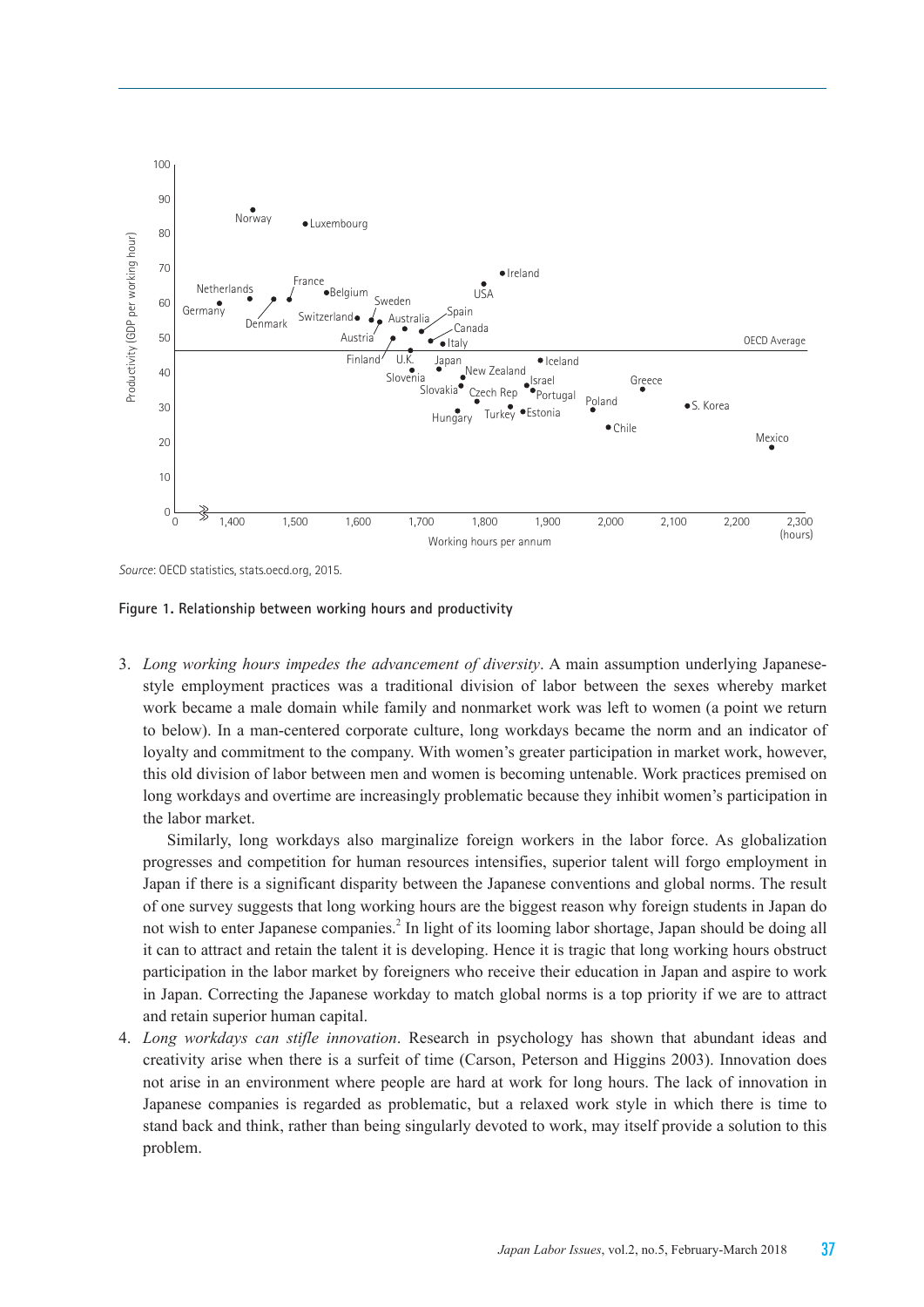

*Source*: OECD statistics, stats.oecd.org, 2015.

**Figure 1. Relationship between working hours and productivity**

3. *Long working hours impedes the advancement of diversity*. A main assumption underlying Japanesestyle employment practices was a traditional division of labor between the sexes whereby market work became a male domain while family and nonmarket work was left to women (a point we return to below). In a man-centered corporate culture, long workdays became the norm and an indicator of loyalty and commitment to the company. With women's greater participation in market work, however, this old division of labor between men and women is becoming untenable. Work practices premised on long workdays and overtime are increasingly problematic because they inhibit women's participation in the labor market.

Similarly, long workdays also marginalize foreign workers in the labor force. As globalization progresses and competition for human resources intensifies, superior talent will forgo employment in Japan if there is a significant disparity between the Japanese conventions and global norms. The result of one survey suggests that long working hours are the biggest reason why foreign students in Japan do not wish to enter Japanese companies.<sup>2</sup> In light of its looming labor shortage, Japan should be doing all it can to attract and retain the talent it is developing. Hence it is tragic that long working hours obstruct participation in the labor market by foreigners who receive their education in Japan and aspire to work in Japan. Correcting the Japanese workday to match global norms is a top priority if we are to attract and retain superior human capital.

4. *Long workdays can stifle innovation*. Research in psychology has shown that abundant ideas and creativity arise when there is a surfeit of time (Carson, Peterson and Higgins 2003). Innovation does not arise in an environment where people are hard at work for long hours. The lack of innovation in Japanese companies is regarded as problematic, but a relaxed work style in which there is time to stand back and think, rather than being singularly devoted to work, may itself provide a solution to this problem.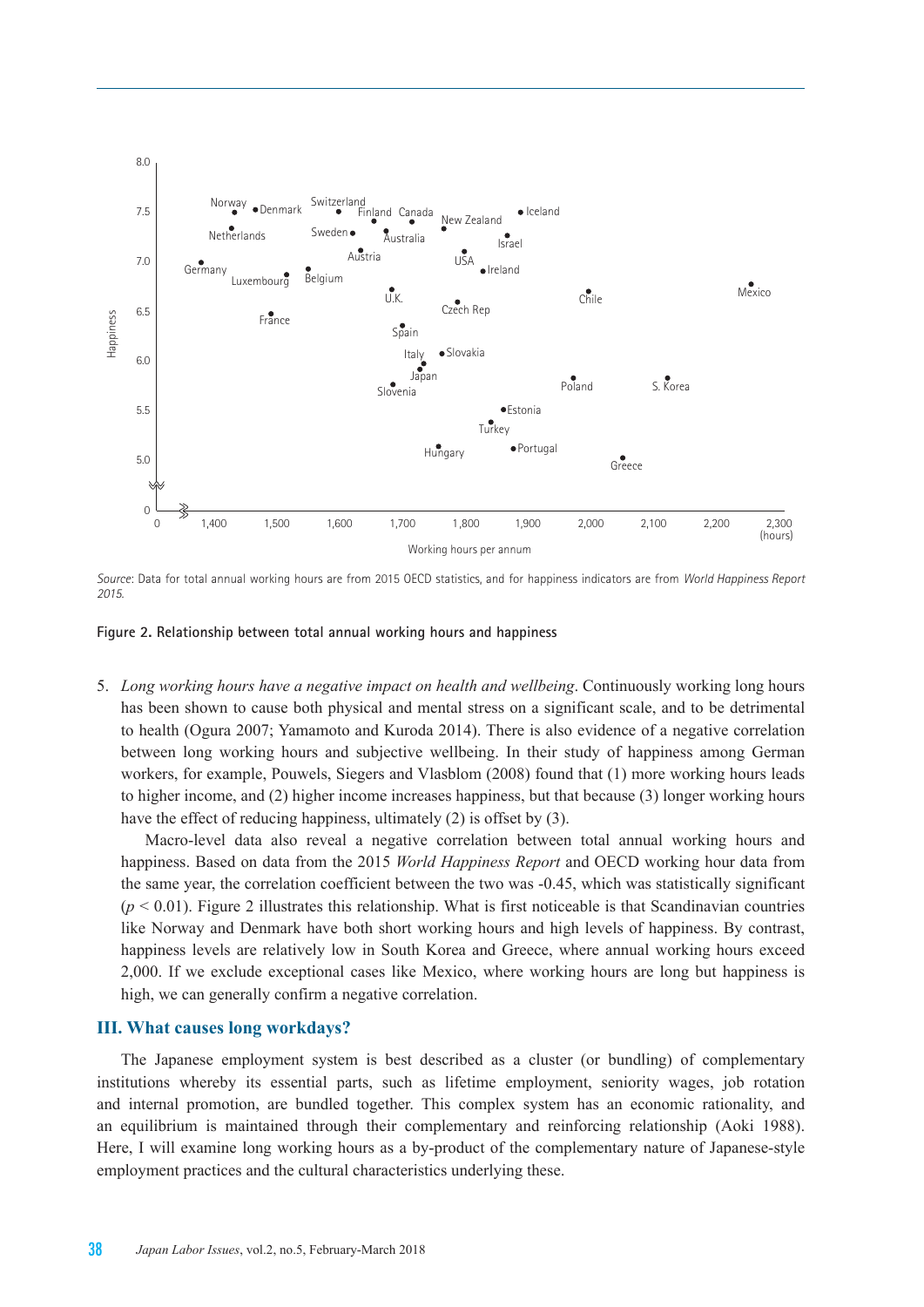

*Source*: Data for total annual working hours are from 2015 OECD statistics, and for happiness indicators are from *World Happiness Report 2015.*

#### **Figure 2. Relationship between total annual working hours and happiness**

5. *Long working hours have a negative impact on health and wellbeing*. Continuously working long hours has been shown to cause both physical and mental stress on a significant scale, and to be detrimental to health (Ogura 2007; Yamamoto and Kuroda 2014). There is also evidence of a negative correlation between long working hours and subjective wellbeing. In their study of happiness among German workers, for example, Pouwels, Siegers and Vlasblom (2008) found that (1) more working hours leads to higher income, and (2) higher income increases happiness, but that because (3) longer working hours have the effect of reducing happiness, ultimately (2) is offset by (3).

Macro-level data also reveal a negative correlation between total annual working hours and happiness. Based on data from the 2015 *World Happiness Report* and OECD working hour data from the same year, the correlation coefficient between the two was -0.45, which was statistically significant  $(p < 0.01)$ . Figure 2 illustrates this relationship. What is first noticeable is that Scandinavian countries like Norway and Denmark have both short working hours and high levels of happiness. By contrast, happiness levels are relatively low in South Korea and Greece, where annual working hours exceed 2,000. If we exclude exceptional cases like Mexico, where working hours are long but happiness is high, we can generally confirm a negative correlation.

#### **III. What causes long workdays?**

The Japanese employment system is best described as a cluster (or bundling) of complementary institutions whereby its essential parts, such as lifetime employment, seniority wages, job rotation and internal promotion, are bundled together. This complex system has an economic rationality, and an equilibrium is maintained through their complementary and reinforcing relationship (Aoki 1988). Here, I will examine long working hours as a by-product of the complementary nature of Japanese-style employment practices and the cultural characteristics underlying these.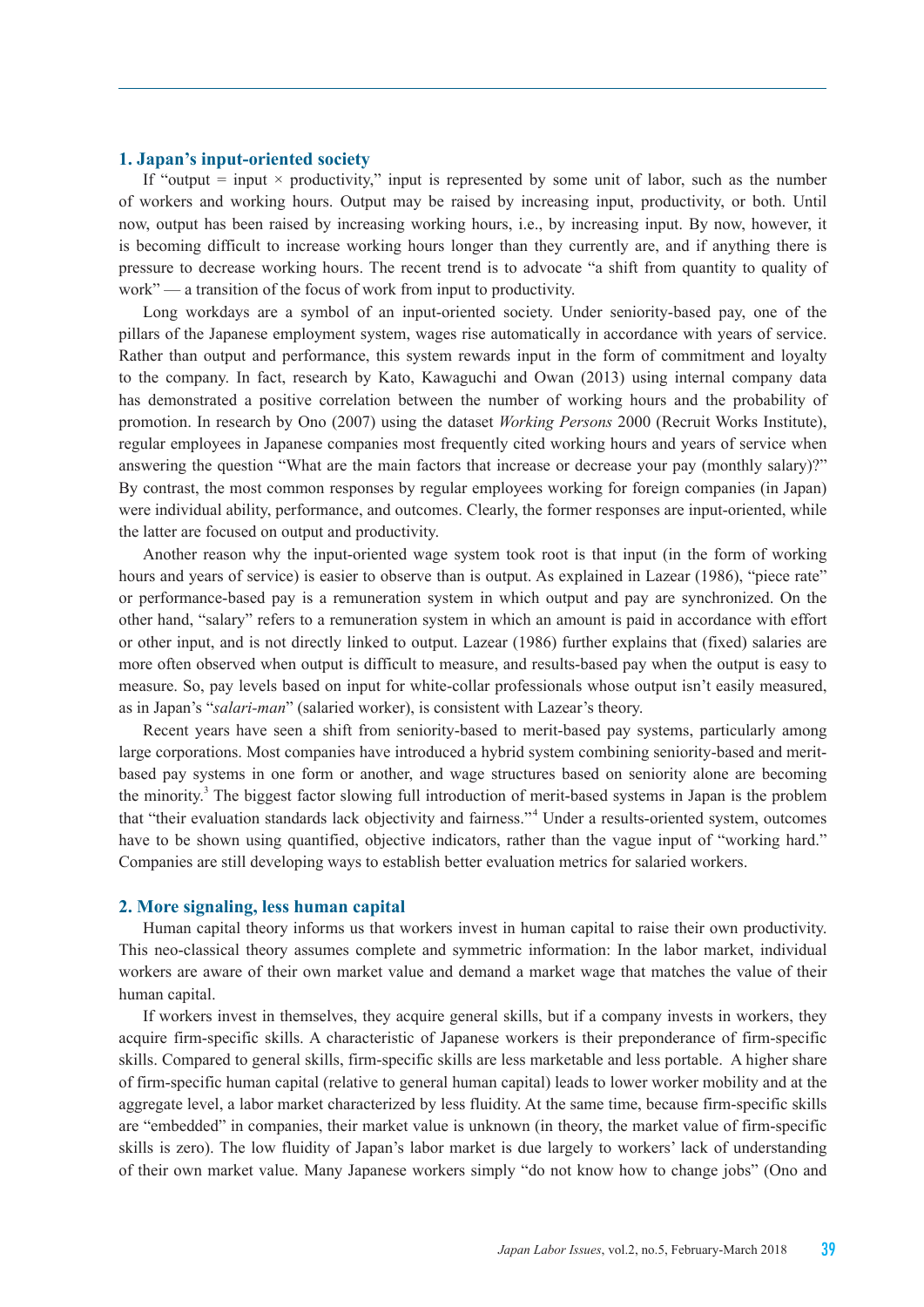#### **1. Japan's input-oriented society**

If "output = input  $\times$  productivity," input is represented by some unit of labor, such as the number of workers and working hours. Output may be raised by increasing input, productivity, or both. Until now, output has been raised by increasing working hours, i.e., by increasing input. By now, however, it is becoming difficult to increase working hours longer than they currently are, and if anything there is pressure to decrease working hours. The recent trend is to advocate "a shift from quantity to quality of work" — a transition of the focus of work from input to productivity.

Long workdays are a symbol of an input-oriented society. Under seniority-based pay, one of the pillars of the Japanese employment system, wages rise automatically in accordance with years of service. Rather than output and performance, this system rewards input in the form of commitment and loyalty to the company. In fact, research by Kato, Kawaguchi and Owan (2013) using internal company data has demonstrated a positive correlation between the number of working hours and the probability of promotion. In research by Ono (2007) using the dataset *Working Persons* 2000 (Recruit Works Institute), regular employees in Japanese companies most frequently cited working hours and years of service when answering the question "What are the main factors that increase or decrease your pay (monthly salary)?" By contrast, the most common responses by regular employees working for foreign companies (in Japan) were individual ability, performance, and outcomes. Clearly, the former responses are input-oriented, while the latter are focused on output and productivity.

Another reason why the input-oriented wage system took root is that input (in the form of working hours and years of service) is easier to observe than is output. As explained in Lazear (1986), "piece rate" or performance-based pay is a remuneration system in which output and pay are synchronized. On the other hand, "salary" refers to a remuneration system in which an amount is paid in accordance with effort or other input, and is not directly linked to output. Lazear (1986) further explains that (fixed) salaries are more often observed when output is difficult to measure, and results-based pay when the output is easy to measure. So, pay levels based on input for white-collar professionals whose output isn't easily measured, as in Japan's "*salari-man*" (salaried worker), is consistent with Lazear's theory.

Recent years have seen a shift from seniority-based to merit-based pay systems, particularly among large corporations. Most companies have introduced a hybrid system combining seniority-based and meritbased pay systems in one form or another, and wage structures based on seniority alone are becoming the minority.<sup>3</sup> The biggest factor slowing full introduction of merit-based systems in Japan is the problem that "their evaluation standards lack objectivity and fairness."<sup>4</sup> Under a results-oriented system, outcomes have to be shown using quantified, objective indicators, rather than the vague input of "working hard." Companies are still developing ways to establish better evaluation metrics for salaried workers.

#### **2. More signaling, less human capital**

Human capital theory informs us that workers invest in human capital to raise their own productivity. This neo-classical theory assumes complete and symmetric information: In the labor market, individual workers are aware of their own market value and demand a market wage that matches the value of their human capital.

If workers invest in themselves, they acquire general skills, but if a company invests in workers, they acquire firm-specific skills. A characteristic of Japanese workers is their preponderance of firm-specific skills. Compared to general skills, firm-specific skills are less marketable and less portable. A higher share of firm-specific human capital (relative to general human capital) leads to lower worker mobility and at the aggregate level, a labor market characterized by less fluidity. At the same time, because firm-specific skills are "embedded" in companies, their market value is unknown (in theory, the market value of firm-specific skills is zero). The low fluidity of Japan's labor market is due largely to workers' lack of understanding of their own market value. Many Japanese workers simply "do not know how to change jobs" (Ono and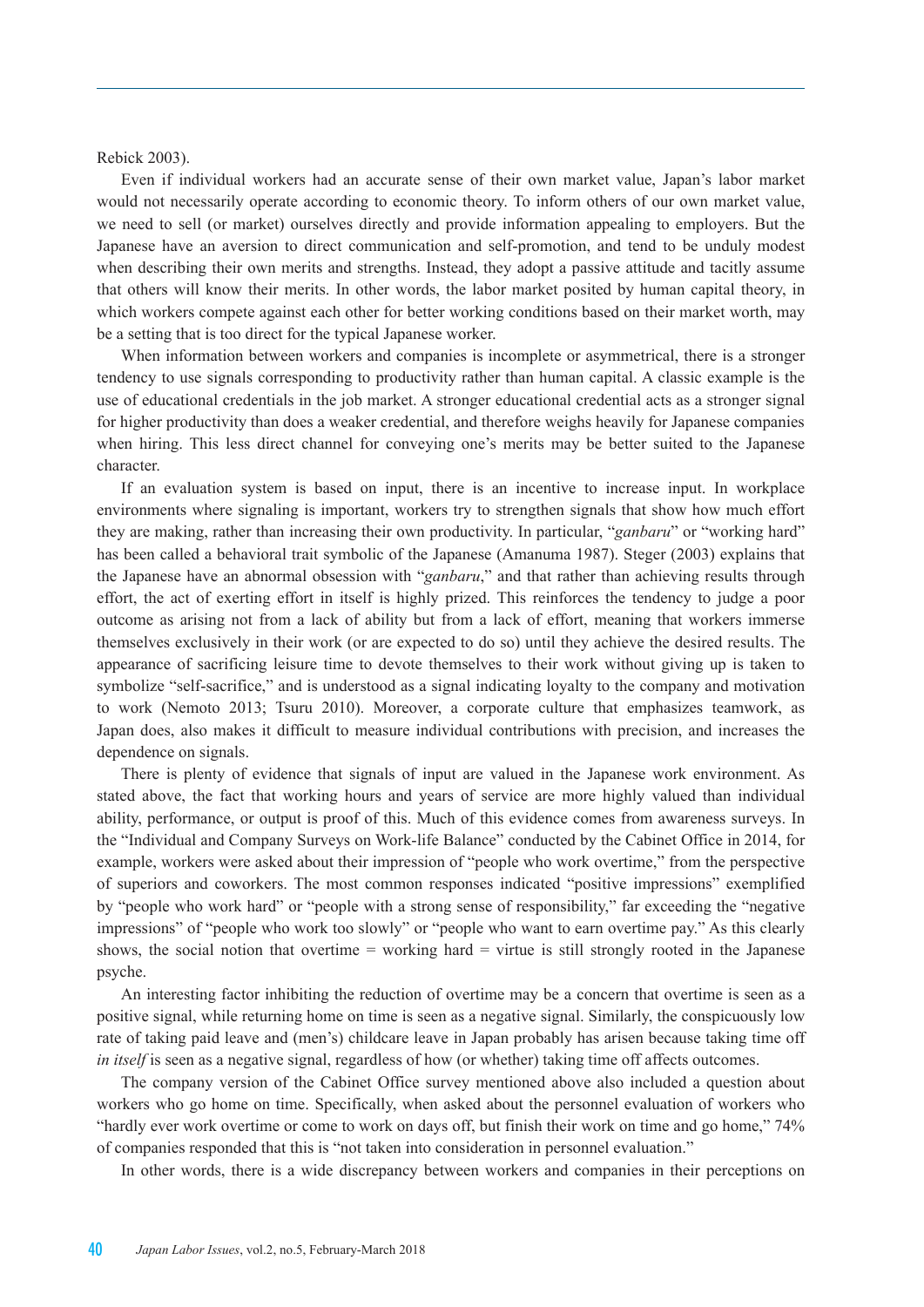Rebick 2003).

Even if individual workers had an accurate sense of their own market value, Japan's labor market would not necessarily operate according to economic theory. To inform others of our own market value, we need to sell (or market) ourselves directly and provide information appealing to employers. But the Japanese have an aversion to direct communication and self-promotion, and tend to be unduly modest when describing their own merits and strengths. Instead, they adopt a passive attitude and tacitly assume that others will know their merits. In other words, the labor market posited by human capital theory, in which workers compete against each other for better working conditions based on their market worth, may be a setting that is too direct for the typical Japanese worker.

When information between workers and companies is incomplete or asymmetrical, there is a stronger tendency to use signals corresponding to productivity rather than human capital. A classic example is the use of educational credentials in the job market. A stronger educational credential acts as a stronger signal for higher productivity than does a weaker credential, and therefore weighs heavily for Japanese companies when hiring. This less direct channel for conveying one's merits may be better suited to the Japanese character.

If an evaluation system is based on input, there is an incentive to increase input. In workplace environments where signaling is important, workers try to strengthen signals that show how much effort they are making, rather than increasing their own productivity. In particular, "*ganbaru*" or "working hard" has been called a behavioral trait symbolic of the Japanese (Amanuma 1987). Steger (2003) explains that the Japanese have an abnormal obsession with "*ganbaru*," and that rather than achieving results through effort, the act of exerting effort in itself is highly prized. This reinforces the tendency to judge a poor outcome as arising not from a lack of ability but from a lack of effort, meaning that workers immerse themselves exclusively in their work (or are expected to do so) until they achieve the desired results. The appearance of sacrificing leisure time to devote themselves to their work without giving up is taken to symbolize "self-sacrifice," and is understood as a signal indicating loyalty to the company and motivation to work (Nemoto 2013; Tsuru 2010). Moreover, a corporate culture that emphasizes teamwork, as Japan does, also makes it difficult to measure individual contributions with precision, and increases the dependence on signals.

There is plenty of evidence that signals of input are valued in the Japanese work environment. As stated above, the fact that working hours and years of service are more highly valued than individual ability, performance, or output is proof of this. Much of this evidence comes from awareness surveys. In the "Individual and Company Surveys on Work-life Balance" conducted by the Cabinet Office in 2014, for example, workers were asked about their impression of "people who work overtime," from the perspective of superiors and coworkers. The most common responses indicated "positive impressions" exemplified by "people who work hard" or "people with a strong sense of responsibility," far exceeding the "negative impressions" of "people who work too slowly" or "people who want to earn overtime pay." As this clearly shows, the social notion that overtime = working hard = virtue is still strongly rooted in the Japanese psyche.

An interesting factor inhibiting the reduction of overtime may be a concern that overtime is seen as a positive signal, while returning home on time is seen as a negative signal. Similarly, the conspicuously low rate of taking paid leave and (men's) childcare leave in Japan probably has arisen because taking time off *in itself* is seen as a negative signal, regardless of how (or whether) taking time off affects outcomes.

The company version of the Cabinet Office survey mentioned above also included a question about workers who go home on time. Specifically, when asked about the personnel evaluation of workers who "hardly ever work overtime or come to work on days off, but finish their work on time and go home," 74% of companies responded that this is "not taken into consideration in personnel evaluation."

In other words, there is a wide discrepancy between workers and companies in their perceptions on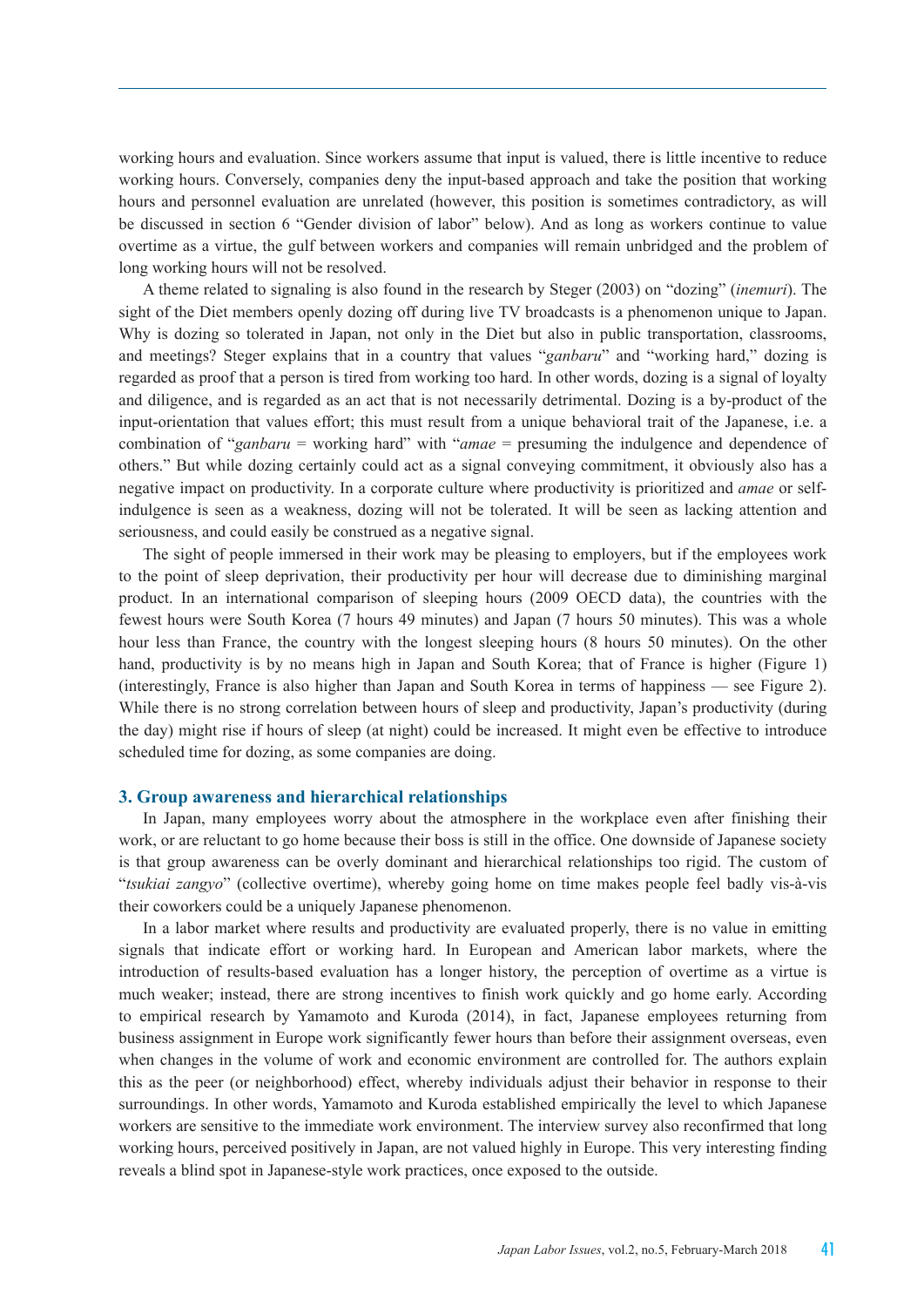working hours and evaluation. Since workers assume that input is valued, there is little incentive to reduce working hours. Conversely, companies deny the input-based approach and take the position that working hours and personnel evaluation are unrelated (however, this position is sometimes contradictory, as will be discussed in section 6 "Gender division of labor" below). And as long as workers continue to value overtime as a virtue, the gulf between workers and companies will remain unbridged and the problem of long working hours will not be resolved.

A theme related to signaling is also found in the research by Steger (2003) on "dozing" (*inemuri*). The sight of the Diet members openly dozing off during live TV broadcasts is a phenomenon unique to Japan. Why is dozing so tolerated in Japan, not only in the Diet but also in public transportation, classrooms, and meetings? Steger explains that in a country that values "*ganbaru*" and "working hard," dozing is regarded as proof that a person is tired from working too hard. In other words, dozing is a signal of loyalty and diligence, and is regarded as an act that is not necessarily detrimental. Dozing is a by-product of the input-orientation that values effort; this must result from a unique behavioral trait of the Japanese, i.e. a combination of "*ganbaru* = working hard" with "*amae* = presuming the indulgence and dependence of others." But while dozing certainly could act as a signal conveying commitment, it obviously also has a negative impact on productivity. In a corporate culture where productivity is prioritized and *amae* or selfindulgence is seen as a weakness, dozing will not be tolerated. It will be seen as lacking attention and seriousness, and could easily be construed as a negative signal.

The sight of people immersed in their work may be pleasing to employers, but if the employees work to the point of sleep deprivation, their productivity per hour will decrease due to diminishing marginal product. In an international comparison of sleeping hours (2009 OECD data), the countries with the fewest hours were South Korea (7 hours 49 minutes) and Japan (7 hours 50 minutes). This was a whole hour less than France, the country with the longest sleeping hours (8 hours 50 minutes). On the other hand, productivity is by no means high in Japan and South Korea; that of France is higher (Figure 1) (interestingly, France is also higher than Japan and South Korea in terms of happiness — see Figure 2). While there is no strong correlation between hours of sleep and productivity, Japan's productivity (during the day) might rise if hours of sleep (at night) could be increased. It might even be effective to introduce scheduled time for dozing, as some companies are doing.

#### **3. Group awareness and hierarchical relationships**

In Japan, many employees worry about the atmosphere in the workplace even after finishing their work, or are reluctant to go home because their boss is still in the office. One downside of Japanese society is that group awareness can be overly dominant and hierarchical relationships too rigid. The custom of "*tsukiai zangyo*" (collective overtime), whereby going home on time makes people feel badly vis-à-vis their coworkers could be a uniquely Japanese phenomenon.

In a labor market where results and productivity are evaluated properly, there is no value in emitting signals that indicate effort or working hard. In European and American labor markets, where the introduction of results-based evaluation has a longer history, the perception of overtime as a virtue is much weaker; instead, there are strong incentives to finish work quickly and go home early. According to empirical research by Yamamoto and Kuroda (2014), in fact, Japanese employees returning from business assignment in Europe work significantly fewer hours than before their assignment overseas, even when changes in the volume of work and economic environment are controlled for. The authors explain this as the peer (or neighborhood) effect, whereby individuals adjust their behavior in response to their surroundings. In other words, Yamamoto and Kuroda established empirically the level to which Japanese workers are sensitive to the immediate work environment. The interview survey also reconfirmed that long working hours, perceived positively in Japan, are not valued highly in Europe. This very interesting finding reveals a blind spot in Japanese-style work practices, once exposed to the outside.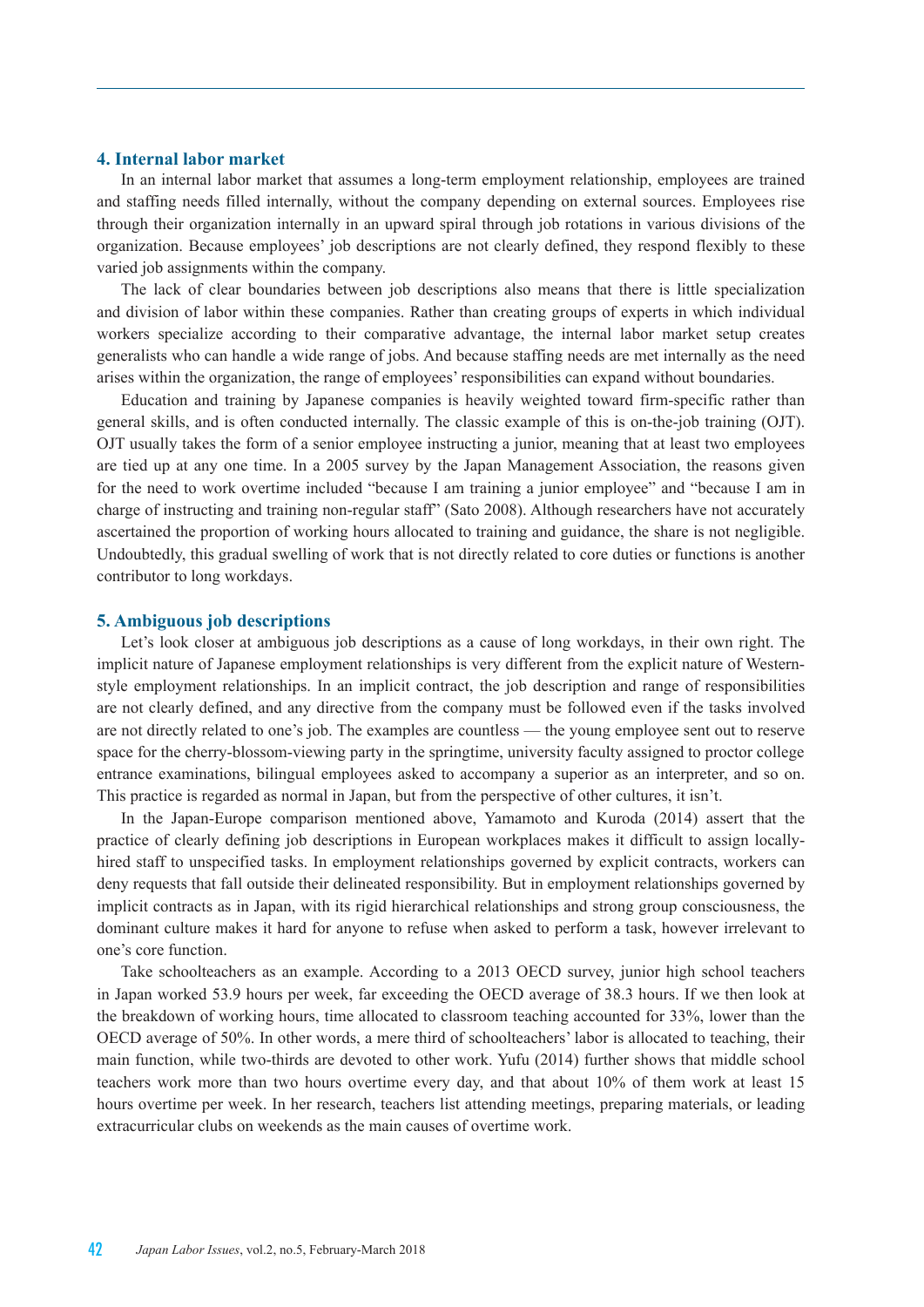# **4. Internal labor market**

In an internal labor market that assumes a long-term employment relationship, employees are trained and staffing needs filled internally, without the company depending on external sources. Employees rise through their organization internally in an upward spiral through job rotations in various divisions of the organization. Because employees' job descriptions are not clearly defined, they respond flexibly to these varied job assignments within the company.

The lack of clear boundaries between job descriptions also means that there is little specialization and division of labor within these companies. Rather than creating groups of experts in which individual workers specialize according to their comparative advantage, the internal labor market setup creates generalists who can handle a wide range of jobs. And because staffing needs are met internally as the need arises within the organization, the range of employees' responsibilities can expand without boundaries.

Education and training by Japanese companies is heavily weighted toward firm-specific rather than general skills, and is often conducted internally. The classic example of this is on-the-job training (OJT). OJT usually takes the form of a senior employee instructing a junior, meaning that at least two employees are tied up at any one time. In a 2005 survey by the Japan Management Association, the reasons given for the need to work overtime included "because I am training a junior employee" and "because I am in charge of instructing and training non-regular staff" (Sato 2008). Although researchers have not accurately ascertained the proportion of working hours allocated to training and guidance, the share is not negligible. Undoubtedly, this gradual swelling of work that is not directly related to core duties or functions is another contributor to long workdays.

#### **5. Ambiguous job descriptions**

Let's look closer at ambiguous job descriptions as a cause of long workdays, in their own right. The implicit nature of Japanese employment relationships is very different from the explicit nature of Westernstyle employment relationships. In an implicit contract, the job description and range of responsibilities are not clearly defined, and any directive from the company must be followed even if the tasks involved are not directly related to one's job. The examples are countless — the young employee sent out to reserve space for the cherry-blossom-viewing party in the springtime, university faculty assigned to proctor college entrance examinations, bilingual employees asked to accompany a superior as an interpreter, and so on. This practice is regarded as normal in Japan, but from the perspective of other cultures, it isn't.

In the Japan-Europe comparison mentioned above, Yamamoto and Kuroda (2014) assert that the practice of clearly defining job descriptions in European workplaces makes it difficult to assign locallyhired staff to unspecified tasks. In employment relationships governed by explicit contracts, workers can deny requests that fall outside their delineated responsibility. But in employment relationships governed by implicit contracts as in Japan, with its rigid hierarchical relationships and strong group consciousness, the dominant culture makes it hard for anyone to refuse when asked to perform a task, however irrelevant to one's core function.

Take schoolteachers as an example. According to a 2013 OECD survey, junior high school teachers in Japan worked 53.9 hours per week, far exceeding the OECD average of 38.3 hours. If we then look at the breakdown of working hours, time allocated to classroom teaching accounted for 33%, lower than the OECD average of 50%. In other words, a mere third of schoolteachers' labor is allocated to teaching, their main function, while two-thirds are devoted to other work. Yufu (2014) further shows that middle school teachers work more than two hours overtime every day, and that about 10% of them work at least 15 hours overtime per week. In her research, teachers list attending meetings, preparing materials, or leading extracurricular clubs on weekends as the main causes of overtime work.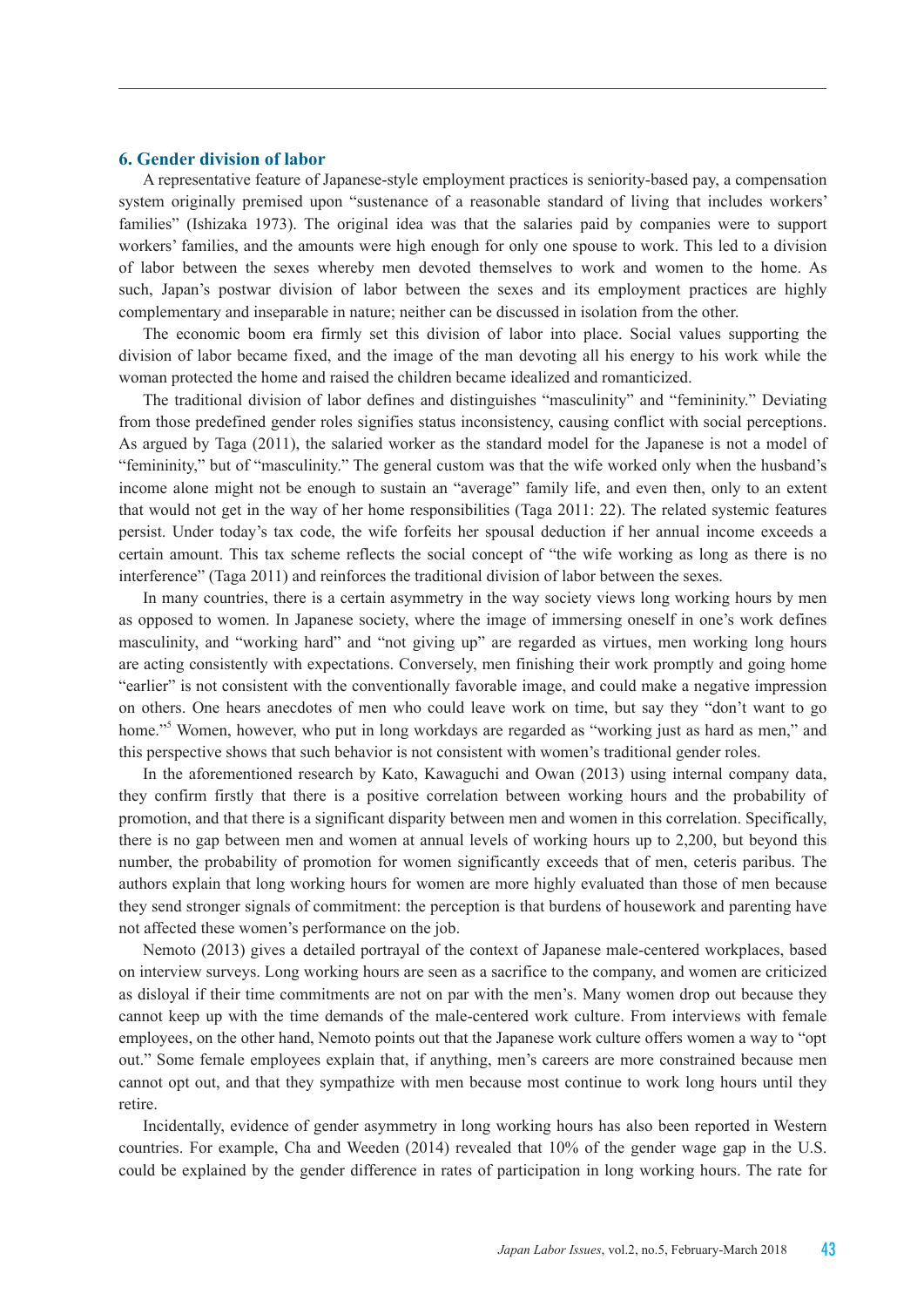#### **6. Gender division of labor**

A representative feature of Japanese-style employment practices is seniority-based pay, a compensation system originally premised upon "sustenance of a reasonable standard of living that includes workers' families" (Ishizaka 1973). The original idea was that the salaries paid by companies were to support workers' families, and the amounts were high enough for only one spouse to work. This led to a division of labor between the sexes whereby men devoted themselves to work and women to the home. As such, Japan's postwar division of labor between the sexes and its employment practices are highly complementary and inseparable in nature; neither can be discussed in isolation from the other.

The economic boom era firmly set this division of labor into place. Social values supporting the division of labor became fixed, and the image of the man devoting all his energy to his work while the woman protected the home and raised the children became idealized and romanticized.

The traditional division of labor defines and distinguishes "masculinity" and "femininity." Deviating from those predefined gender roles signifies status inconsistency, causing conflict with social perceptions. As argued by Taga (2011), the salaried worker as the standard model for the Japanese is not a model of "femininity," but of "masculinity." The general custom was that the wife worked only when the husband's income alone might not be enough to sustain an "average" family life, and even then, only to an extent that would not get in the way of her home responsibilities (Taga 2011: 22). The related systemic features persist. Under today's tax code, the wife forfeits her spousal deduction if her annual income exceeds a certain amount. This tax scheme reflects the social concept of "the wife working as long as there is no interference" (Taga 2011) and reinforces the traditional division of labor between the sexes.

In many countries, there is a certain asymmetry in the way society views long working hours by men as opposed to women. In Japanese society, where the image of immersing oneself in one's work defines masculinity, and "working hard" and "not giving up" are regarded as virtues, men working long hours are acting consistently with expectations. Conversely, men finishing their work promptly and going home "earlier" is not consistent with the conventionally favorable image, and could make a negative impression on others. One hears anecdotes of men who could leave work on time, but say they "don't want to go home."<sup>5</sup> Women, however, who put in long workdays are regarded as "working just as hard as men," and this perspective shows that such behavior is not consistent with women's traditional gender roles.

In the aforementioned research by Kato, Kawaguchi and Owan (2013) using internal company data, they confirm firstly that there is a positive correlation between working hours and the probability of promotion, and that there is a significant disparity between men and women in this correlation. Specifically, there is no gap between men and women at annual levels of working hours up to 2,200, but beyond this number, the probability of promotion for women significantly exceeds that of men, ceteris paribus. The authors explain that long working hours for women are more highly evaluated than those of men because they send stronger signals of commitment: the perception is that burdens of housework and parenting have not affected these women's performance on the job.

Nemoto (2013) gives a detailed portrayal of the context of Japanese male-centered workplaces, based on interview surveys. Long working hours are seen as a sacrifice to the company, and women are criticized as disloyal if their time commitments are not on par with the men's. Many women drop out because they cannot keep up with the time demands of the male-centered work culture. From interviews with female employees, on the other hand, Nemoto points out that the Japanese work culture offers women a way to "opt out." Some female employees explain that, if anything, men's careers are more constrained because men cannot opt out, and that they sympathize with men because most continue to work long hours until they retire.

Incidentally, evidence of gender asymmetry in long working hours has also been reported in Western countries. For example, Cha and Weeden (2014) revealed that 10% of the gender wage gap in the U.S. could be explained by the gender difference in rates of participation in long working hours. The rate for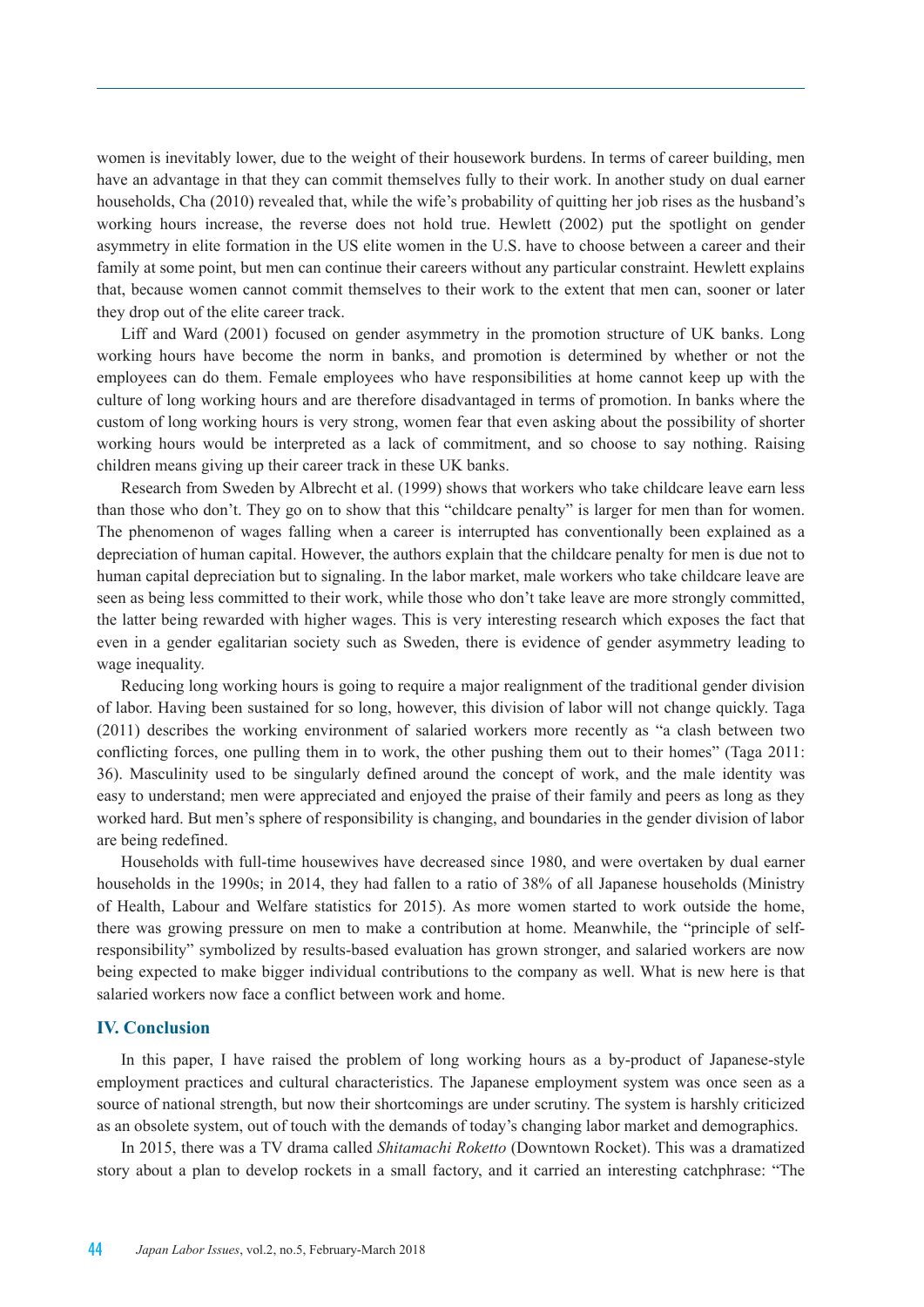women is inevitably lower, due to the weight of their housework burdens. In terms of career building, men have an advantage in that they can commit themselves fully to their work. In another study on dual earner households, Cha (2010) revealed that, while the wife's probability of quitting her job rises as the husband's working hours increase, the reverse does not hold true. Hewlett (2002) put the spotlight on gender asymmetry in elite formation in the US elite women in the U.S. have to choose between a career and their family at some point, but men can continue their careers without any particular constraint. Hewlett explains that, because women cannot commit themselves to their work to the extent that men can, sooner or later they drop out of the elite career track.

Liff and Ward (2001) focused on gender asymmetry in the promotion structure of UK banks. Long working hours have become the norm in banks, and promotion is determined by whether or not the employees can do them. Female employees who have responsibilities at home cannot keep up with the culture of long working hours and are therefore disadvantaged in terms of promotion. In banks where the custom of long working hours is very strong, women fear that even asking about the possibility of shorter working hours would be interpreted as a lack of commitment, and so choose to say nothing. Raising children means giving up their career track in these UK banks.

Research from Sweden by Albrecht et al. (1999) shows that workers who take childcare leave earn less than those who don't. They go on to show that this "childcare penalty" is larger for men than for women. The phenomenon of wages falling when a career is interrupted has conventionally been explained as a depreciation of human capital. However, the authors explain that the childcare penalty for men is due not to human capital depreciation but to signaling. In the labor market, male workers who take childcare leave are seen as being less committed to their work, while those who don't take leave are more strongly committed, the latter being rewarded with higher wages. This is very interesting research which exposes the fact that even in a gender egalitarian society such as Sweden, there is evidence of gender asymmetry leading to wage inequality.

Reducing long working hours is going to require a major realignment of the traditional gender division of labor. Having been sustained for so long, however, this division of labor will not change quickly. Taga (2011) describes the working environment of salaried workers more recently as "a clash between two conflicting forces, one pulling them in to work, the other pushing them out to their homes" (Taga 2011: 36). Masculinity used to be singularly defined around the concept of work, and the male identity was easy to understand; men were appreciated and enjoyed the praise of their family and peers as long as they worked hard. But men's sphere of responsibility is changing, and boundaries in the gender division of labor are being redefined.

Households with full-time housewives have decreased since 1980, and were overtaken by dual earner households in the 1990s; in 2014, they had fallen to a ratio of 38% of all Japanese households (Ministry of Health, Labour and Welfare statistics for 2015). As more women started to work outside the home, there was growing pressure on men to make a contribution at home. Meanwhile, the "principle of selfresponsibility" symbolized by results-based evaluation has grown stronger, and salaried workers are now being expected to make bigger individual contributions to the company as well. What is new here is that salaried workers now face a conflict between work and home.

### **IV. Conclusion**

In this paper, I have raised the problem of long working hours as a by-product of Japanese-style employment practices and cultural characteristics. The Japanese employment system was once seen as a source of national strength, but now their shortcomings are under scrutiny. The system is harshly criticized as an obsolete system, out of touch with the demands of today's changing labor market and demographics.

In 2015, there was a TV drama called *Shitamachi Roketto* (Downtown Rocket). This was a dramatized story about a plan to develop rockets in a small factory, and it carried an interesting catchphrase: "The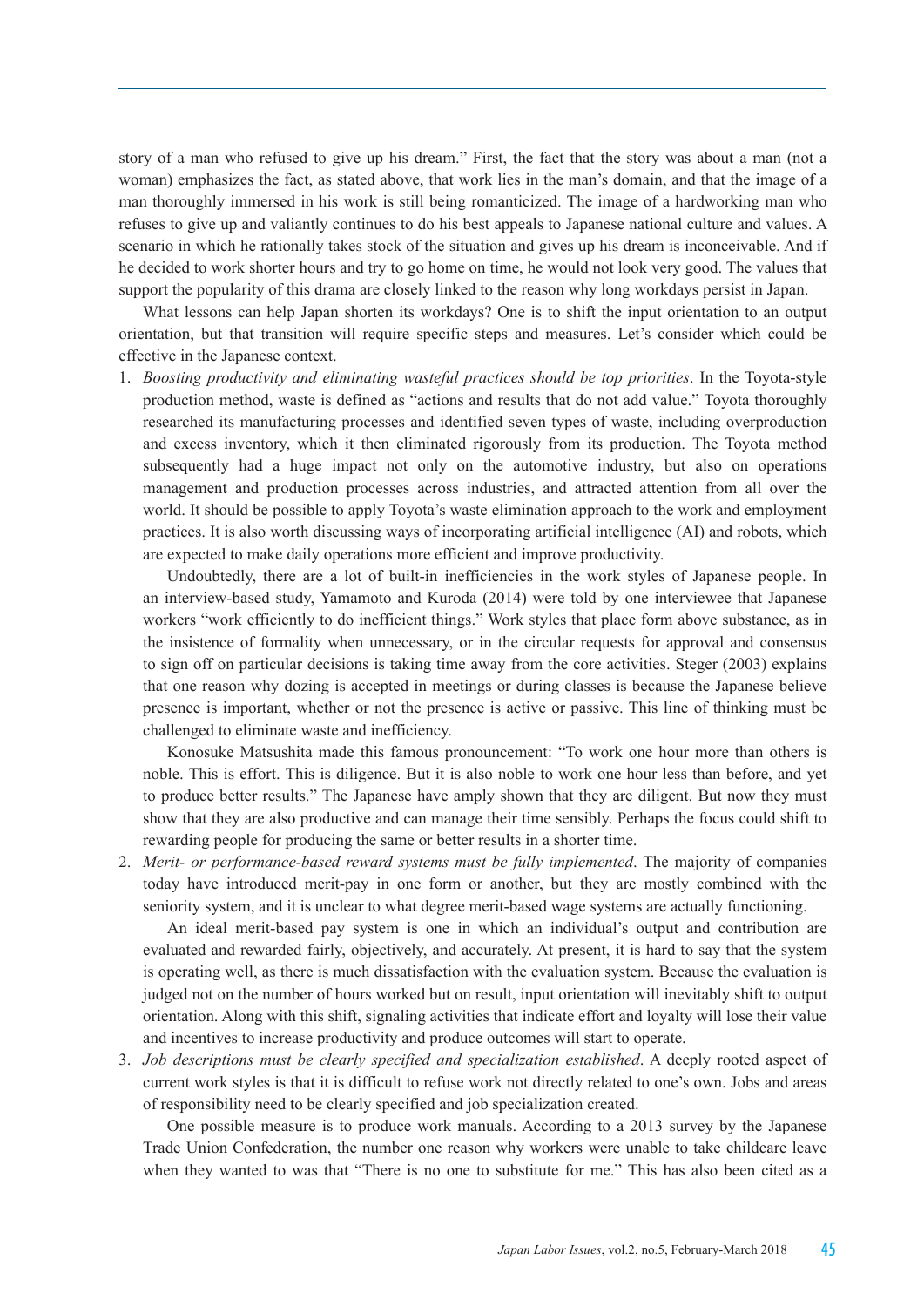story of a man who refused to give up his dream." First, the fact that the story was about a man (not a woman) emphasizes the fact, as stated above, that work lies in the man's domain, and that the image of a man thoroughly immersed in his work is still being romanticized. The image of a hardworking man who refuses to give up and valiantly continues to do his best appeals to Japanese national culture and values. A scenario in which he rationally takes stock of the situation and gives up his dream is inconceivable. And if he decided to work shorter hours and try to go home on time, he would not look very good. The values that support the popularity of this drama are closely linked to the reason why long workdays persist in Japan.

What lessons can help Japan shorten its workdays? One is to shift the input orientation to an output orientation, but that transition will require specific steps and measures. Let's consider which could be effective in the Japanese context.

1. *Boosting productivity and eliminating wasteful practices should be top priorities*. In the Toyota-style production method, waste is defined as "actions and results that do not add value." Toyota thoroughly researched its manufacturing processes and identified seven types of waste, including overproduction and excess inventory, which it then eliminated rigorously from its production. The Toyota method subsequently had a huge impact not only on the automotive industry, but also on operations management and production processes across industries, and attracted attention from all over the world. It should be possible to apply Toyota's waste elimination approach to the work and employment practices. It is also worth discussing ways of incorporating artificial intelligence (AI) and robots, which are expected to make daily operations more efficient and improve productivity.

Undoubtedly, there are a lot of built-in inefficiencies in the work styles of Japanese people. In an interview-based study, Yamamoto and Kuroda (2014) were told by one interviewee that Japanese workers "work efficiently to do inefficient things." Work styles that place form above substance, as in the insistence of formality when unnecessary, or in the circular requests for approval and consensus to sign off on particular decisions is taking time away from the core activities. Steger (2003) explains that one reason why dozing is accepted in meetings or during classes is because the Japanese believe presence is important, whether or not the presence is active or passive. This line of thinking must be challenged to eliminate waste and inefficiency.

Konosuke Matsushita made this famous pronouncement: "To work one hour more than others is noble. This is effort. This is diligence. But it is also noble to work one hour less than before, and yet to produce better results." The Japanese have amply shown that they are diligent. But now they must show that they are also productive and can manage their time sensibly. Perhaps the focus could shift to rewarding people for producing the same or better results in a shorter time.

2. *Merit- or performance-based reward systems must be fully implemented*. The majority of companies today have introduced merit-pay in one form or another, but they are mostly combined with the seniority system, and it is unclear to what degree merit-based wage systems are actually functioning.

An ideal merit-based pay system is one in which an individual's output and contribution are evaluated and rewarded fairly, objectively, and accurately. At present, it is hard to say that the system is operating well, as there is much dissatisfaction with the evaluation system. Because the evaluation is judged not on the number of hours worked but on result, input orientation will inevitably shift to output orientation. Along with this shift, signaling activities that indicate effort and loyalty will lose their value and incentives to increase productivity and produce outcomes will start to operate.

3. *Job descriptions must be clearly specified and specialization established*. A deeply rooted aspect of current work styles is that it is difficult to refuse work not directly related to one's own. Jobs and areas of responsibility need to be clearly specified and job specialization created.

One possible measure is to produce work manuals. According to a 2013 survey by the Japanese Trade Union Confederation, the number one reason why workers were unable to take childcare leave when they wanted to was that "There is no one to substitute for me." This has also been cited as a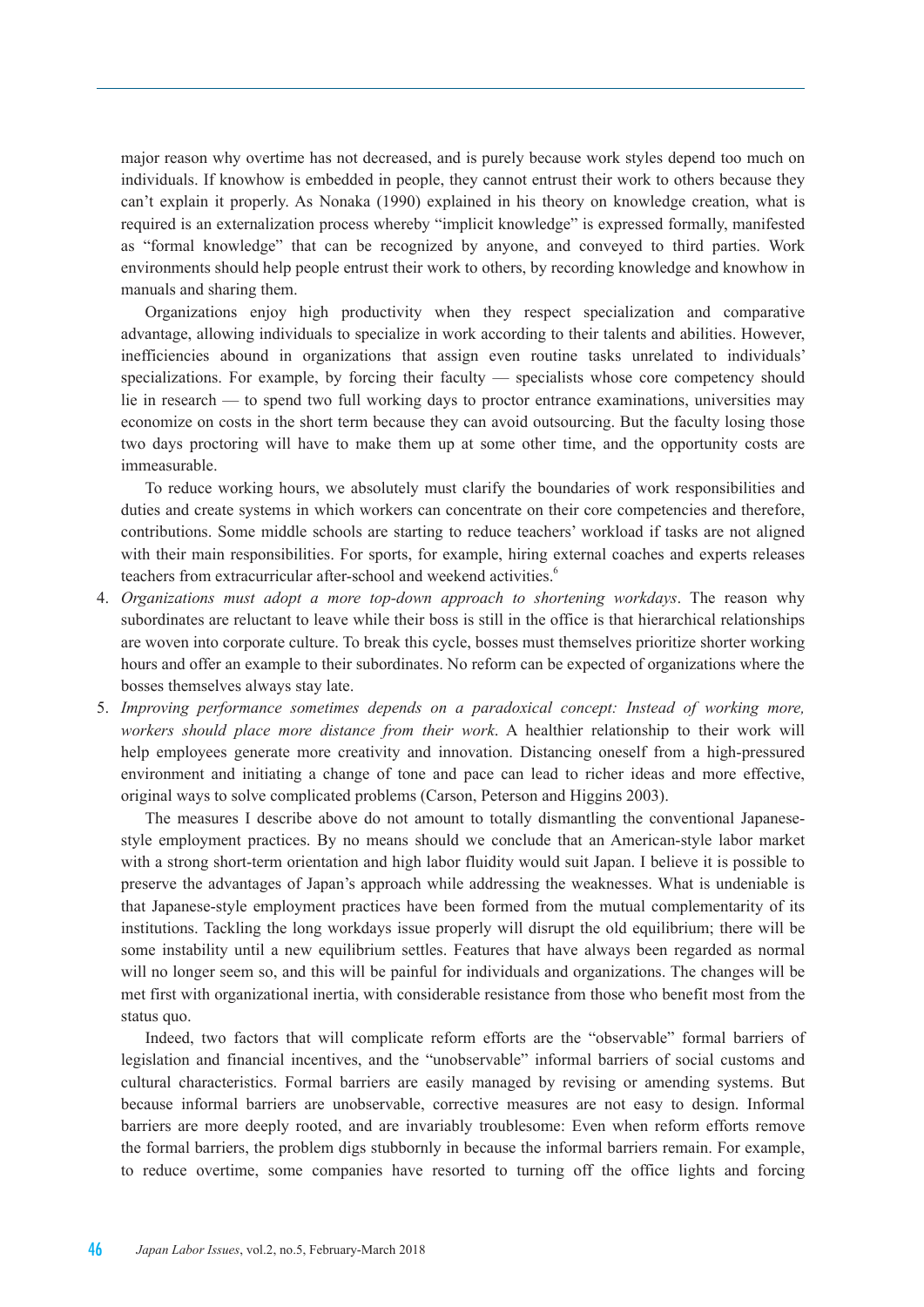major reason why overtime has not decreased, and is purely because work styles depend too much on individuals. If knowhow is embedded in people, they cannot entrust their work to others because they can't explain it properly. As Nonaka (1990) explained in his theory on knowledge creation, what is required is an externalization process whereby "implicit knowledge" is expressed formally, manifested as "formal knowledge" that can be recognized by anyone, and conveyed to third parties. Work environments should help people entrust their work to others, by recording knowledge and knowhow in manuals and sharing them.

Organizations enjoy high productivity when they respect specialization and comparative advantage, allowing individuals to specialize in work according to their talents and abilities. However, inefficiencies abound in organizations that assign even routine tasks unrelated to individuals' specializations. For example, by forcing their faculty — specialists whose core competency should lie in research — to spend two full working days to proctor entrance examinations, universities may economize on costs in the short term because they can avoid outsourcing. But the faculty losing those two days proctoring will have to make them up at some other time, and the opportunity costs are immeasurable.

To reduce working hours, we absolutely must clarify the boundaries of work responsibilities and duties and create systems in which workers can concentrate on their core competencies and therefore, contributions. Some middle schools are starting to reduce teachers' workload if tasks are not aligned with their main responsibilities. For sports, for example, hiring external coaches and experts releases teachers from extracurricular after-school and weekend activities.<sup>6</sup>

- 4. *Organizations must adopt a more top-down approach to shortening workdays*. The reason why subordinates are reluctant to leave while their boss is still in the office is that hierarchical relationships are woven into corporate culture. To break this cycle, bosses must themselves prioritize shorter working hours and offer an example to their subordinates. No reform can be expected of organizations where the bosses themselves always stay late.
- 5. *Improving performance sometimes depends on a paradoxical concept: Instead of working more, workers should place more distance from their work*. A healthier relationship to their work will help employees generate more creativity and innovation. Distancing oneself from a high-pressured environment and initiating a change of tone and pace can lead to richer ideas and more effective, original ways to solve complicated problems (Carson, Peterson and Higgins 2003).

The measures I describe above do not amount to totally dismantling the conventional Japanesestyle employment practices. By no means should we conclude that an American-style labor market with a strong short-term orientation and high labor fluidity would suit Japan. I believe it is possible to preserve the advantages of Japan's approach while addressing the weaknesses. What is undeniable is that Japanese-style employment practices have been formed from the mutual complementarity of its institutions. Tackling the long workdays issue properly will disrupt the old equilibrium; there will be some instability until a new equilibrium settles. Features that have always been regarded as normal will no longer seem so, and this will be painful for individuals and organizations. The changes will be met first with organizational inertia, with considerable resistance from those who benefit most from the status quo.

Indeed, two factors that will complicate reform efforts are the "observable" formal barriers of legislation and financial incentives, and the "unobservable" informal barriers of social customs and cultural characteristics. Formal barriers are easily managed by revising or amending systems. But because informal barriers are unobservable, corrective measures are not easy to design. Informal barriers are more deeply rooted, and are invariably troublesome: Even when reform efforts remove the formal barriers, the problem digs stubbornly in because the informal barriers remain. For example, to reduce overtime, some companies have resorted to turning off the office lights and forcing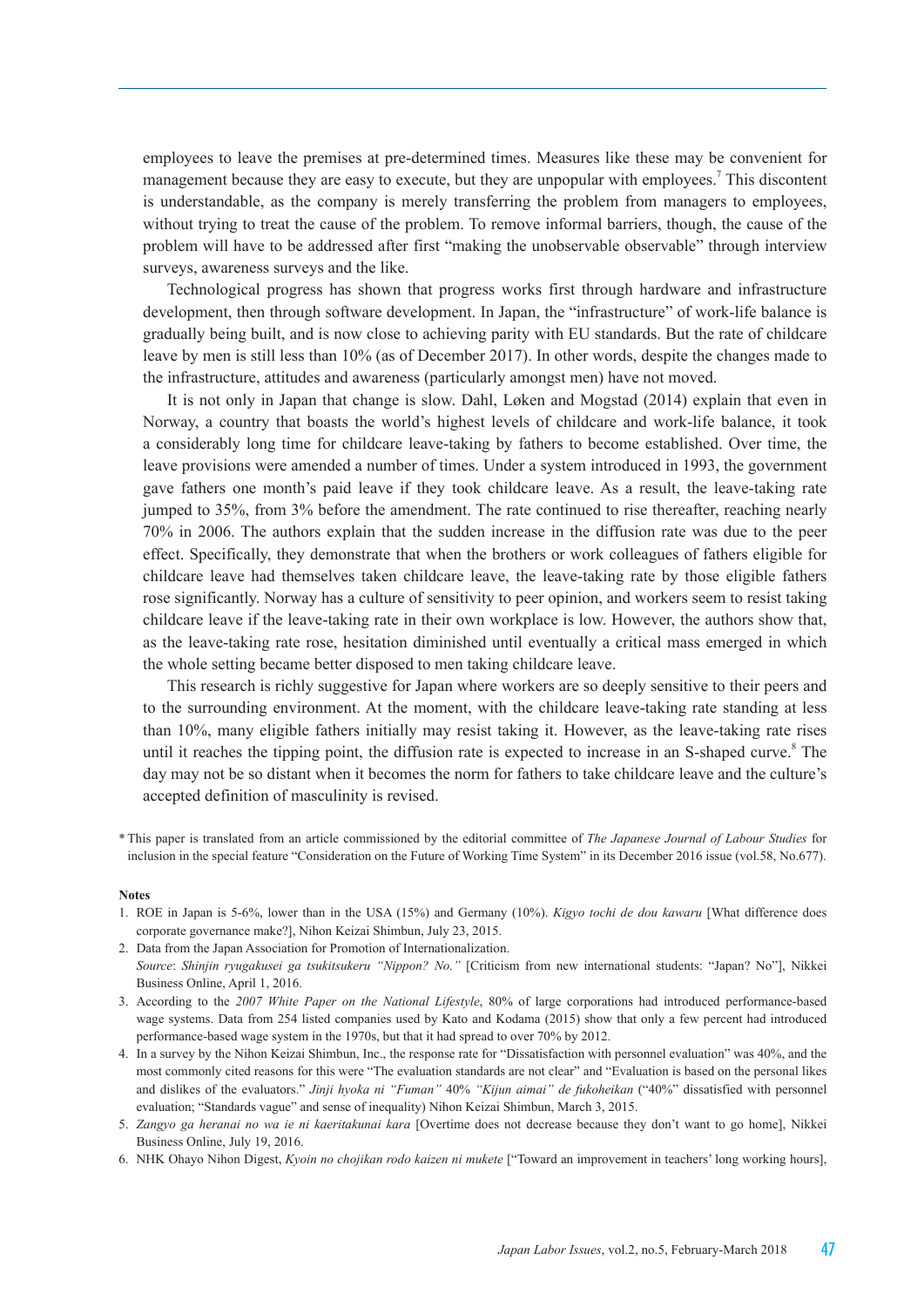employees to leave the premises at pre-determined times. Measures like these may be convenient for management because they are easy to execute, but they are unpopular with employees.<sup>7</sup> This discontent is understandable, as the company is merely transferring the problem from managers to employees, without trying to treat the cause of the problem. To remove informal barriers, though, the cause of the problem will have to be addressed after first "making the unobservable observable" through interview surveys, awareness surveys and the like.

Technological progress has shown that progress works first through hardware and infrastructure development, then through software development. In Japan, the "infrastructure" of work-life balance is gradually being built, and is now close to achieving parity with EU standards. But the rate of childcare leave by men is still less than 10% (as of December 2017). In other words, despite the changes made to the infrastructure, attitudes and awareness (particularly amongst men) have not moved.

It is not only in Japan that change is slow. Dahl, Løken and Mogstad (2014) explain that even in Norway, a country that boasts the world's highest levels of childcare and work-life balance, it took a considerably long time for childcare leave-taking by fathers to become established. Over time, the leave provisions were amended a number of times. Under a system introduced in 1993, the government gave fathers one month's paid leave if they took childcare leave. As a result, the leave-taking rate jumped to 35%, from 3% before the amendment. The rate continued to rise thereafter, reaching nearly 70% in 2006. The authors explain that the sudden increase in the diffusion rate was due to the peer effect. Specifically, they demonstrate that when the brothers or work colleagues of fathers eligible for childcare leave had themselves taken childcare leave, the leave-taking rate by those eligible fathers rose significantly. Norway has a culture of sensitivity to peer opinion, and workers seem to resist taking childcare leave if the leave-taking rate in their own workplace is low. However, the authors show that, as the leave-taking rate rose, hesitation diminished until eventually a critical mass emerged in which the whole setting became better disposed to men taking childcare leave.

This research is richly suggestive for Japan where workers are so deeply sensitive to their peers and to the surrounding environment. At the moment, with the childcare leave-taking rate standing at less than 10%, many eligible fathers initially may resist taking it. However, as the leave-taking rate rises until it reaches the tipping point, the diffusion rate is expected to increase in an S-shaped curve.<sup>8</sup> The day may not be so distant when it becomes the norm for fathers to take childcare leave and the culture's accepted definition of masculinity is revised.

\* This paper is translated from an article commissioned by the editorial committee of *The Japanese Journal of Labour Studies* for inclusion in the special feature "Consideration on the Future of Working Time System" in its December 2016 issue (vol.58, No.677).

#### **Notes**

- 1. ROE in Japan is 5-6%, lower than in the USA (15%) and Germany (10%). *Kigyo tochi de dou kawaru* [What difference does corporate governance make?], Nihon Keizai Shimbun, July 23, 2015.
- 2. Data from the Japan Association for Promotion of Internationalization. *Source*: *Shinjin ryugakusei ga tsukitsukeru "Nippon? No."* [Criticism from new international students: "Japan? No"], Nikkei Business Online, April 1, 2016.
- 3. According to the *2007 White Paper on the National Lifestyle*, 80% of large corporations had introduced performance-based wage systems. Data from 254 listed companies used by Kato and Kodama (2015) show that only a few percent had introduced performance-based wage system in the 1970s, but that it had spread to over 70% by 2012.
- 4. In a survey by the Nihon Keizai Shimbun, Inc., the response rate for "Dissatisfaction with personnel evaluation" was 40%, and the most commonly cited reasons for this were "The evaluation standards are not clear" and "Evaluation is based on the personal likes and dislikes of the evaluators." *Jinji hyoka ni "Fuman"* 40% *"Kijun aimai" de fukoheikan* ("40%" dissatisfied with personnel evaluation; "Standards vague" and sense of inequality) Nihon Keizai Shimbun, March 3, 2015.
- 5. *Zangyo ga heranai no wa ie ni kaeritakunai kara* [Overtime does not decrease because they don't want to go home], Nikkei Business Online, July 19, 2016.
- 6. NHK Ohayo Nihon Digest, *Kyoin no chojikan rodo kaizen ni mukete* ["Toward an improvement in teachers' long working hours],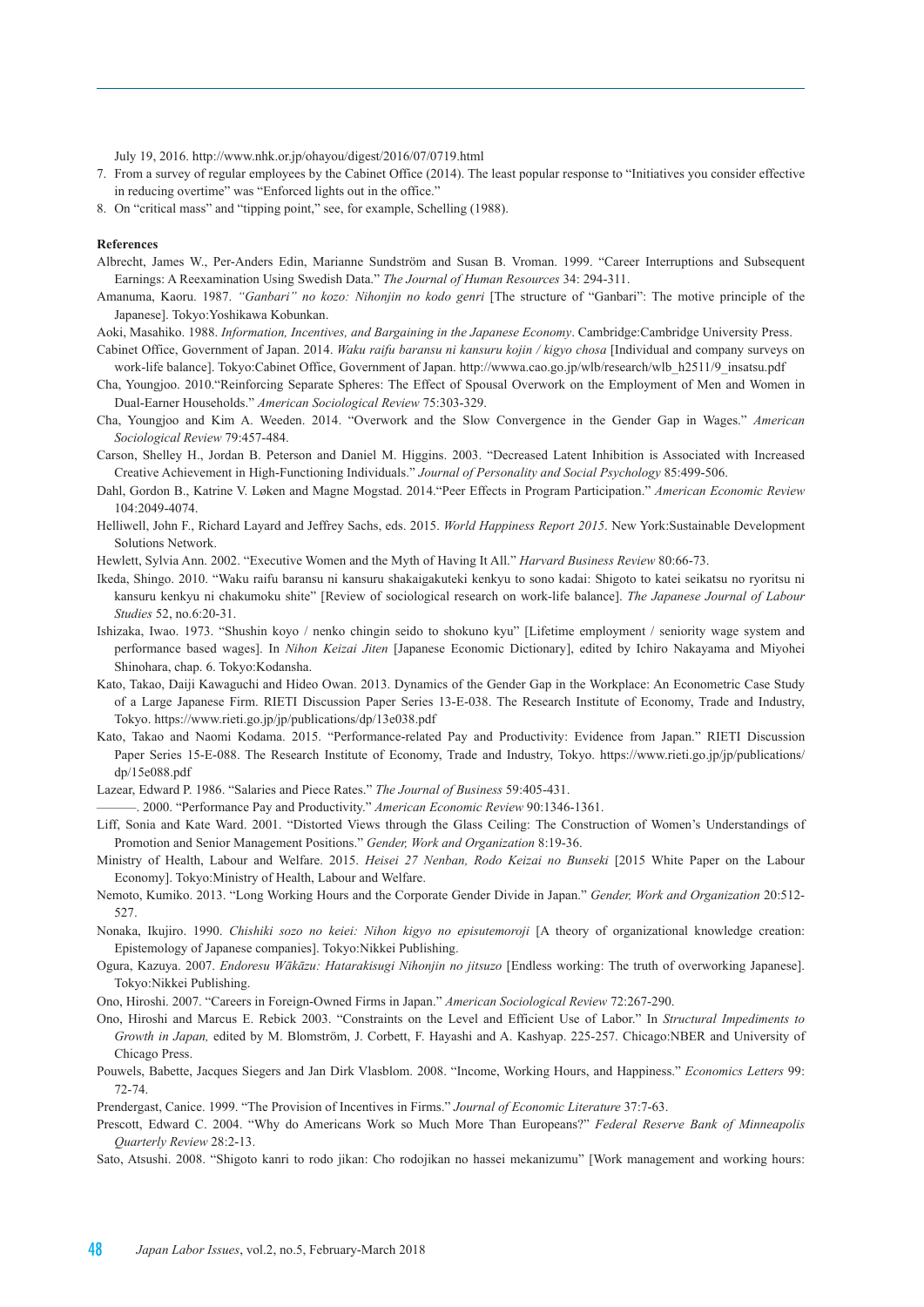July 19, 2016. http://www.nhk.or.jp/ohayou/digest/2016/07/0719.html

- 7. From a survey of regular employees by the Cabinet Office (2014). The least popular response to "Initiatives you consider effective in reducing overtime" was "Enforced lights out in the office."
- 8. On "critical mass" and "tipping point," see, for example, Schelling (1988).

#### **References**

- Albrecht, James W., Per-Anders Edin, Marianne Sundström and Susan B. Vroman. 1999. "Career Interruptions and Subsequent Earnings: A Reexamination Using Swedish Data." *The Journal of Human Resources* 34: 294-311.
- Amanuma, Kaoru. 1987. *"Ganbari" no kozo: Nihonjin no kodo genri* [The structure of "Ganbari": The motive principle of the Japanese]. Tokyo:Yoshikawa Kobunkan.
- Aoki, Masahiko. 1988. *Information, Incentives, and Bargaining in the Japanese Economy*. Cambridge:Cambridge University Press.
- Cabinet Office, Government of Japan. 2014. *Waku raifu baransu ni kansuru kojin / kigyo chosa* [Individual and company surveys on work-life balance]. Tokyo:Cabinet Office, Government of Japan. http://wwwa.cao.go.jp/wlb/research/wlb\_h2511/9\_insatsu.pdf
- Cha, Youngjoo. 2010."Reinforcing Separate Spheres: The Effect of Spousal Overwork on the Employment of Men and Women in Dual-Earner Households." *American Sociological Review* 75:303-329.
- Cha, Youngjoo and Kim A. Weeden. 2014. "Overwork and the Slow Convergence in the Gender Gap in Wages." *American Sociological Review* 79:457-484.
- Carson, Shelley H., Jordan B. Peterson and Daniel M. Higgins. 2003. "Decreased Latent Inhibition is Associated with Increased Creative Achievement in High-Functioning Individuals." *Journal of Personality and Social Psychology* 85:499-506.
- Dahl, Gordon B., Katrine V. Løken and Magne Mogstad. 2014."Peer Effects in Program Participation." *American Economic Review*  104:2049-4074.
- Helliwell, John F., Richard Layard and Jeffrey Sachs, eds. 2015. *World Happiness Report 2015*. New York:Sustainable Development Solutions Network.
- Hewlett, Sylvia Ann. 2002. "Executive Women and the Myth of Having It All." *Harvard Business Review* 80:66-73.
- Ikeda, Shingo. 2010. "Waku raifu baransu ni kansuru shakaigakuteki kenkyu to sono kadai: Shigoto to katei seikatsu no ryoritsu ni kansuru kenkyu ni chakumoku shite" [Review of sociological research on work-life balance]. *The Japanese Journal of Labour Studies* 52, no.6:20-31.
- Ishizaka, Iwao. 1973. "Shushin koyo / nenko chingin seido to shokuno kyu" [Lifetime employment / seniority wage system and performance based wages]. In *Nihon Keizai Jiten* [Japanese Economic Dictionary], edited by Ichiro Nakayama and Miyohei Shinohara, chap. 6. Tokyo:Kodansha.
- Kato, Takao, Daiji Kawaguchi and Hideo Owan. 2013. Dynamics of the Gender Gap in the Workplace: An Econometric Case Study of a Large Japanese Firm. RIETI Discussion Paper Series 13-E-038. The Research Institute of Economy, Trade and Industry, Tokyo. https://www.rieti.go.jp/jp/publications/dp/13e038.pdf
- Kato, Takao and Naomi Kodama. 2015. "Performance-related Pay and Productivity: Evidence from Japan." RIETI Discussion Paper Series 15-E-088. The Research Institute of Economy, Trade and Industry, Tokyo. https://www.rieti.go.jp/jp/publications/ dp/15e088.pdf

Lazear, Edward P. 1986. "Salaries and Piece Rates." *The Journal of Business* 59:405-431.

- ———. 2000. "Performance Pay and Productivity." *American Economic Review* 90:1346-1361.
- Liff, Sonia and Kate Ward. 2001. "Distorted Views through the Glass Ceiling: The Construction of Women's Understandings of Promotion and Senior Management Positions." *Gender, Work and Organization* 8:19-36.
- Ministry of Health, Labour and Welfare. 2015. *Heisei 27 Nenban, Rodo Keizai no Bunseki* [2015 White Paper on the Labour Economy]. Tokyo:Ministry of Health, Labour and Welfare.
- Nemoto, Kumiko. 2013. "Long Working Hours and the Corporate Gender Divide in Japan." *Gender, Work and Organization* 20:512- 527.
- Nonaka, Ikujiro. 1990. *Chishiki sozo no keiei: Nihon kigyo no episutemoroji* [A theory of organizational knowledge creation: Epistemology of Japanese companies]. Tokyo:Nikkei Publishing.
- Ogura, Kazuya. 2007. *Endoresu Wākāzu: Hatarakisugi Nihonjin no jitsuzo* [Endless working: The truth of overworking Japanese]. Tokyo:Nikkei Publishing.

Ono, Hiroshi. 2007. "Careers in Foreign-Owned Firms in Japan." *American Sociological Review* 72:267-290.

- Ono, Hiroshi and Marcus E. Rebick 2003. "Constraints on the Level and Efficient Use of Labor." In *Structural Impediments to Growth in Japan,* edited by M. Blomström, J. Corbett, F. Hayashi and A. Kashyap. 225-257. Chicago:NBER and University of Chicago Press.
- Pouwels, Babette, Jacques Siegers and Jan Dirk Vlasblom. 2008. "Income, Working Hours, and Happiness." *Economics Letters* 99: 72-74.
- Prendergast, Canice. 1999. "The Provision of Incentives in Firms." *Journal of Economic Literature* 37:7-63.
- Prescott, Edward C. 2004. "Why do Americans Work so Much More Than Europeans?" *Federal Reserve Bank of Minneapolis Quarterly Review* 28:2-13.
- Sato, Atsushi. 2008. "Shigoto kanri to rodo jikan: Cho rodojikan no hassei mekanizumu" [Work management and working hours: